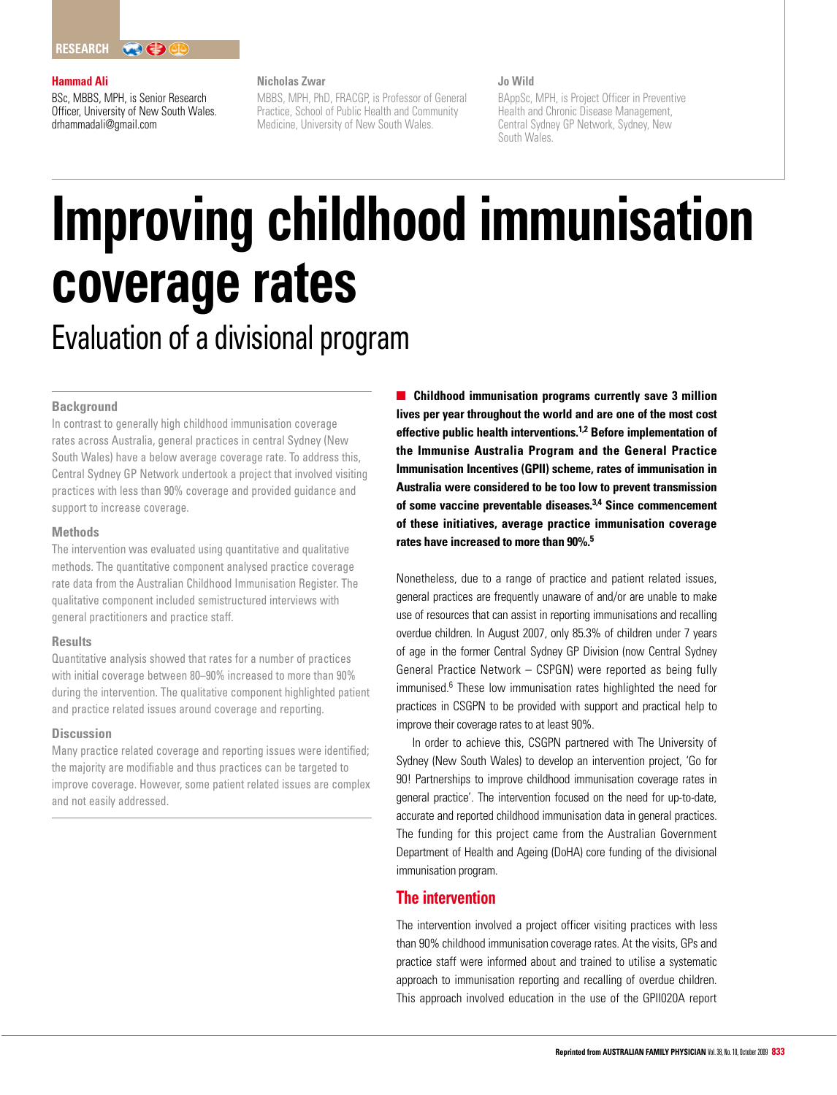#### **Hammad Ali**

BSc, MBBS, MPH, is Senior Research Officer, University of New South Wales. drhammadali@gmail.com

## **Nicholas Zwar**

MBBS, MPH, PhD, FRACGP, is Professor of General Practice, School of Public Health and Community Medicine, University of New South Wales.

# **Jo Wild**

BAppSc, MPH, is Project Officer in Preventive Health and Chronic Disease Management, Central Sydney GP Network, Sydney, New South Wales.

# **Improving childhood immunisation coverage rates** Evaluation of a divisional program

#### **Background**

In contrast to generally high childhood immunisation coverage rates across Australia, general practices in central Sydney (New South Wales) have a below average coverage rate. To address this, Central Sydney GP Network undertook a project that involved visiting practices with less than 90% coverage and provided guidance and support to increase coverage.

## **Methods**

The intervention was evaluated using quantitative and qualitative methods. The quantitative component analysed practice coverage rate data from the Australian Childhood Immunisation Register. The qualitative component included semistructured interviews with general practitioners and practice staff.

#### **Results**

Quantitative analysis showed that rates for a number of practices with initial coverage between 80–90% increased to more than 90% during the intervention. The qualitative component highlighted patient and practice related issues around coverage and reporting.

## **Discussion**

Many practice related coverage and reporting issues were identified; the majority are modifiable and thus practices can be targeted to improve coverage. However, some patient related issues are complex and not easily addressed.

**Childhood immunisation programs currently save 3 million lives per year throughout the world and are one of the most cost effective public health interventions.1,2 Before implementation of the Immunise Australia Program and the General Practice Immunisation Incentives (GPII) scheme, rates of immunisation in Australia were considered to be too low to prevent transmission of some vaccine preventable diseases.3,4 Since commencement of these initiatives, average practice immunisation coverage rates have increased to more than 90%.5**

Nonetheless, due to a range of practice and patient related issues, general practices are frequently unaware of and/or are unable to make use of resources that can assist in reporting immunisations and recalling overdue children. In August 2007, only 85.3% of children under 7 years of age in the former Central Sydney GP Division (now Central Sydney General Practice Network – CSPGN) were reported as being fully immunised.<sup>6</sup> These low immunisation rates highlighted the need for practices in CSGPN to be provided with support and practical help to improve their coverage rates to at least 90%.

In order to achieve this, CSGPN partnered with The University of Sydney (New South Wales) to develop an intervention project, 'Go for 90! Partnerships to improve childhood immunisation coverage rates in general practice'. The intervention focused on the need for up-to-date, accurate and reported childhood immunisation data in general practices. The funding for this project came from the Australian Government Department of Health and Ageing (DoHA) core funding of the divisional immunisation program.

# **The intervention**

The intervention involved a project officer visiting practices with less than 90% childhood immunisation coverage rates. At the visits, GPs and practice staff were informed about and trained to utilise a systematic approach to immunisation reporting and recalling of overdue children. This approach involved education in the use of the GPII020A report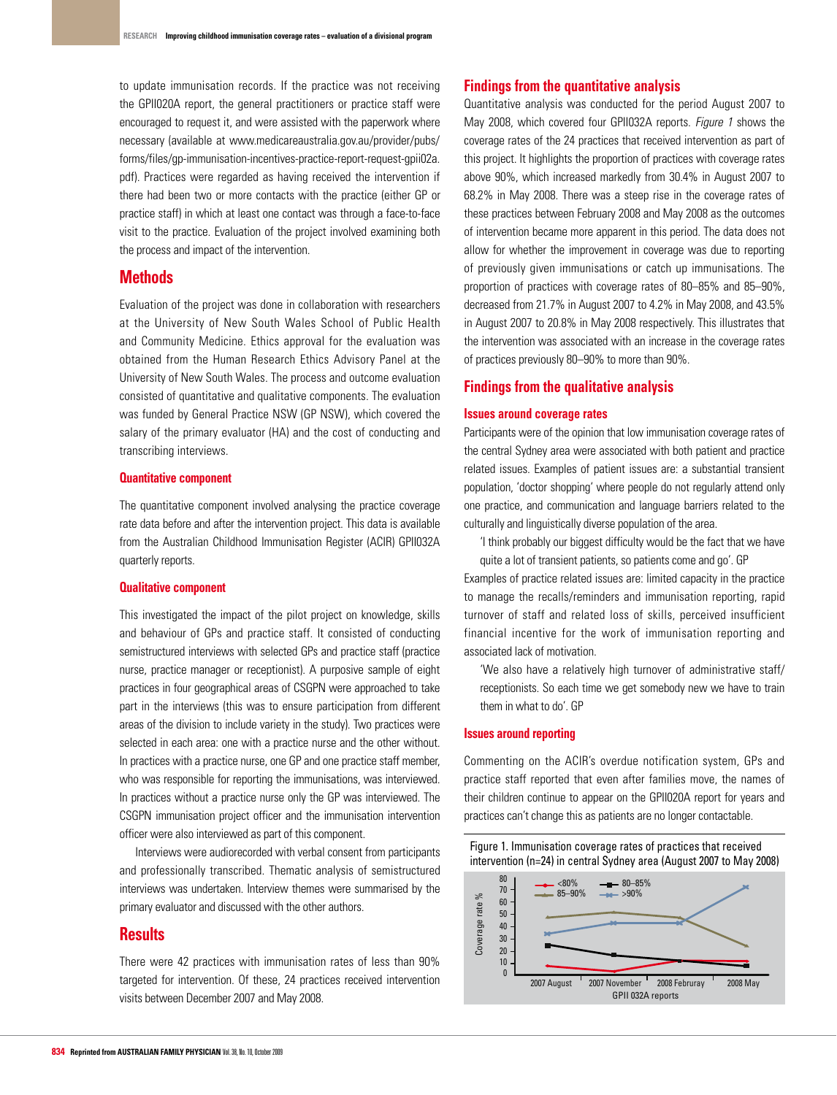to update immunisation records. If the practice was not receiving the GPII020A report, the general practitioners or practice staff were encouraged to request it, and were assisted with the paperwork where necessary (available at www.medicareaustralia.gov.au/provider/pubs/ forms/files/gp-immunisation-incentives-practice-report-request-gpii02a. pdf). Practices were regarded as having received the intervention if there had been two or more contacts with the practice (either GP or practice staff) in which at least one contact was through a face-to-face visit to the practice. Evaluation of the project involved examining both the process and impact of the intervention.

# **Methods**

Evaluation of the project was done in collaboration with researchers at the University of New South Wales School of Public Health and Community Medicine. Ethics approval for the evaluation was obtained from the Human Research Ethics Advisory Panel at the University of New South Wales. The process and outcome evaluation consisted of quantitative and qualitative components. The evaluation was funded by General Practice NSW (GP NSW), which covered the salary of the primary evaluator (HA) and the cost of conducting and transcribing interviews.

# **Quantitative component**

The quantitative component involved analysing the practice coverage rate data before and after the intervention project. This data is available from the Australian Childhood Immunisation Register (ACIR) GPII032A quarterly reports.

#### **Qualitative component**

This investigated the impact of the pilot project on knowledge, skills and behaviour of GPs and practice staff. It consisted of conducting semistructured interviews with selected GPs and practice staff (practice nurse, practice manager or receptionist). A purposive sample of eight practices in four geographical areas of CSGPN were approached to take part in the interviews (this was to ensure participation from different areas of the division to include variety in the study). Two practices were selected in each area: one with a practice nurse and the other without. In practices with a practice nurse, one GP and one practice staff member, who was responsible for reporting the immunisations, was interviewed. In practices without a practice nurse only the GP was interviewed. The CSGPN immunisation project officer and the immunisation intervention officer were also interviewed as part of this component.

Interviews were audiorecorded with verbal consent from participants and professionally transcribed. Thematic analysis of semistructured interviews was undertaken. Interview themes were summarised by the primary evaluator and discussed with the other authors.

# **Results**

There were 42 practices with immunisation rates of less than 90% targeted for intervention. Of these, 24 practices received intervention visits between December 2007 and May 2008.

# **Findings from the quantitative analysis**

Quantitative analysis was conducted for the period August 2007 to May 2008, which covered four GPII032A reports. Figure 1 shows the coverage rates of the 24 practices that received intervention as part of this project. It highlights the proportion of practices with coverage rates above 90%, which increased markedly from 30.4% in August 2007 to 68.2% in May 2008. There was a steep rise in the coverage rates of these practices between February 2008 and May 2008 as the outcomes of intervention became more apparent in this period. The data does not allow for whether the improvement in coverage was due to reporting of previously given immunisations or catch up immunisations. The proportion of practices with coverage rates of 80–85% and 85–90%, decreased from 21.7% in August 2007 to 4.2% in May 2008, and 43.5% in August 2007 to 20.8% in May 2008 respectively. This illustrates that the intervention was associated with an increase in the coverage rates of practices previously 80–90% to more than 90%.

# **Findings from the qualitative analysis**

#### **Issues around coverage rates**

Participants were of the opinion that low immunisation coverage rates of the central Sydney area were associated with both patient and practice related issues. Examples of patient issues are: a substantial transient population, 'doctor shopping' where people do not regularly attend only one practice, and communication and language barriers related to the culturally and linguistically diverse population of the area.

 'I think probably our biggest difficulty would be the fact that we have quite a lot of transient patients, so patients come and go'. GP

Examples of practice related issues are: limited capacity in the practice to manage the recalls/reminders and immunisation reporting, rapid turnover of staff and related loss of skills, perceived insufficient financial incentive for the work of immunisation reporting and associated lack of motivation.

 'We also have a relatively high turnover of administrative staff/ receptionists. So each time we get somebody new we have to train them in what to do'. GP

#### **Issues around reporting**

Commenting on the ACIR's overdue notification system, GPs and practice staff reported that even after families move, the names of their children continue to appear on the GPII020A report for years and practices can't change this as patients are no longer contactable.